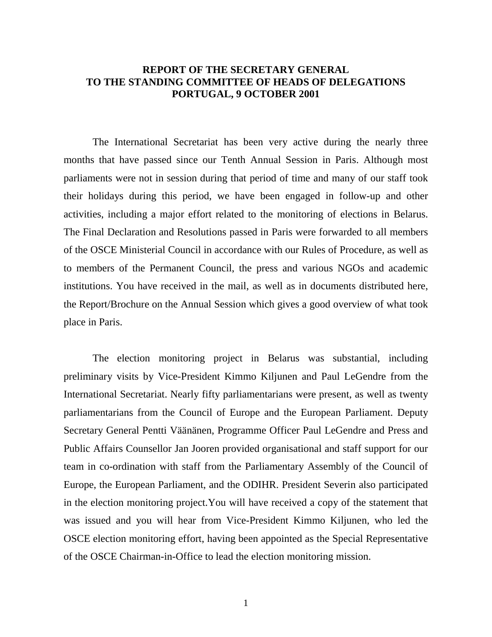## **REPORT OF THE SECRETARY GENERAL TO THE STANDING COMMITTEE OF HEADS OF DELEGATIONS PORTUGAL, 9 OCTOBER 2001**

The International Secretariat has been very active during the nearly three months that have passed since our Tenth Annual Session in Paris. Although most parliaments were not in session during that period of time and many of our staff took their holidays during this period, we have been engaged in follow-up and other activities, including a major effort related to the monitoring of elections in Belarus. The Final Declaration and Resolutions passed in Paris were forwarded to all members of the OSCE Ministerial Council in accordance with our Rules of Procedure, as well as to members of the Permanent Council, the press and various NGOs and academic institutions. You have received in the mail, as well as in documents distributed here, the Report/Brochure on the Annual Session which gives a good overview of what took place in Paris.

The election monitoring project in Belarus was substantial, including preliminary visits by Vice-President Kimmo Kiljunen and Paul LeGendre from the International Secretariat. Nearly fifty parliamentarians were present, as well as twenty parliamentarians from the Council of Europe and the European Parliament. Deputy Secretary General Pentti Väänänen, Programme Officer Paul LeGendre and Press and Public Affairs Counsellor Jan Jooren provided organisational and staff support for our team in co-ordination with staff from the Parliamentary Assembly of the Council of Europe, the European Parliament, and the ODIHR. President Severin also participated in the election monitoring project.You will have received a copy of the statement that was issued and you will hear from Vice-President Kimmo Kiljunen, who led the OSCE election monitoring effort, having been appointed as the Special Representative of the OSCE Chairman-in-Office to lead the election monitoring mission.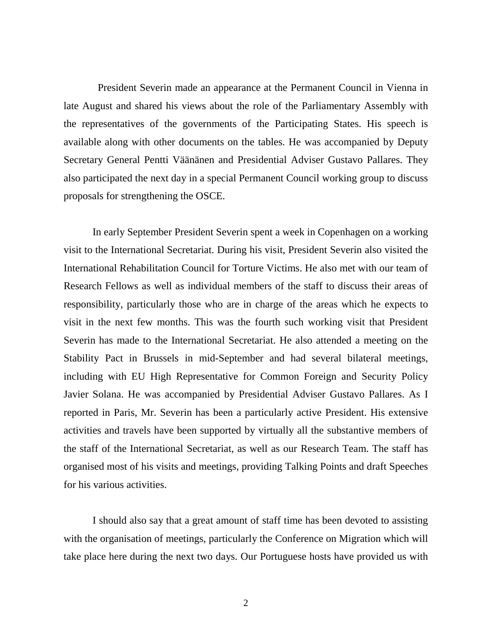President Severin made an appearance at the Permanent Council in Vienna in late August and shared his views about the role of the Parliamentary Assembly with the representatives of the governments of the Participating States. His speech is available along with other documents on the tables. He was accompanied by Deputy Secretary General Pentti Väänänen and Presidential Adviser Gustavo Pallares. They also participated the next day in a special Permanent Council working group to discuss proposals for strengthening the OSCE.

In early September President Severin spent a week in Copenhagen on a working visit to the International Secretariat. During his visit, President Severin also visited the International Rehabilitation Council for Torture Victims. He also met with our team of Research Fellows as well as individual members of the staff to discuss their areas of responsibility, particularly those who are in charge of the areas which he expects to visit in the next few months. This was the fourth such working visit that President Severin has made to the International Secretariat. He also attended a meeting on the Stability Pact in Brussels in mid-September and had several bilateral meetings, including with EU High Representative for Common Foreign and Security Policy Javier Solana. He was accompanied by Presidential Adviser Gustavo Pallares. As I reported in Paris, Mr. Severin has been a particularly active President. His extensive activities and travels have been supported by virtually all the substantive members of the staff of the International Secretariat, as well as our Research Team. The staff has organised most of his visits and meetings, providing Talking Points and draft Speeches for his various activities.

I should also say that a great amount of staff time has been devoted to assisting with the organisation of meetings, particularly the Conference on Migration which will take place here during the next two days. Our Portuguese hosts have provided us with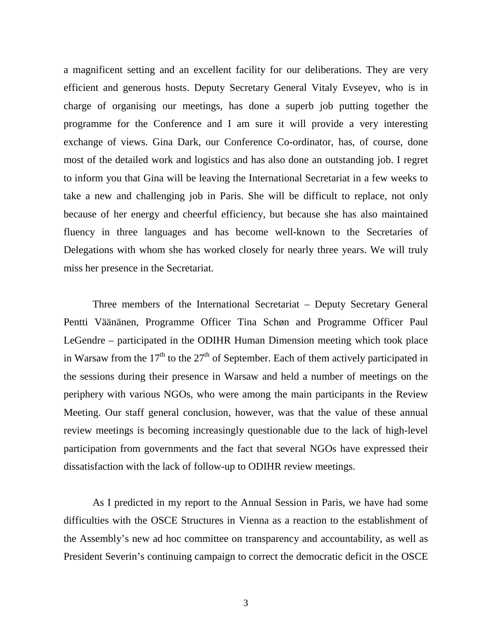a magnificent setting and an excellent facility for our deliberations. They are very efficient and generous hosts. Deputy Secretary General Vitaly Evseyev, who is in charge of organising our meetings, has done a superb job putting together the programme for the Conference and I am sure it will provide a very interesting exchange of views. Gina Dark, our Conference Co-ordinator, has, of course, done most of the detailed work and logistics and has also done an outstanding job. I regret to inform you that Gina will be leaving the International Secretariat in a few weeks to take a new and challenging job in Paris. She will be difficult to replace, not only because of her energy and cheerful efficiency, but because she has also maintained fluency in three languages and has become well-known to the Secretaries of Delegations with whom she has worked closely for nearly three years. We will truly miss her presence in the Secretariat.

Three members of the International Secretariat – Deputy Secretary General Pentti Väänänen, Programme Officer Tina Schøn and Programme Officer Paul LeGendre – participated in the ODIHR Human Dimension meeting which took place in Warsaw from the  $17<sup>th</sup>$  to the  $27<sup>th</sup>$  of September. Each of them actively participated in the sessions during their presence in Warsaw and held a number of meetings on the periphery with various NGOs, who were among the main participants in the Review Meeting. Our staff general conclusion, however, was that the value of these annual review meetings is becoming increasingly questionable due to the lack of high-level participation from governments and the fact that several NGOs have expressed their dissatisfaction with the lack of follow-up to ODIHR review meetings.

As I predicted in my report to the Annual Session in Paris, we have had some difficulties with the OSCE Structures in Vienna as a reaction to the establishment of the Assembly's new ad hoc committee on transparency and accountability, as well as President Severin's continuing campaign to correct the democratic deficit in the OSCE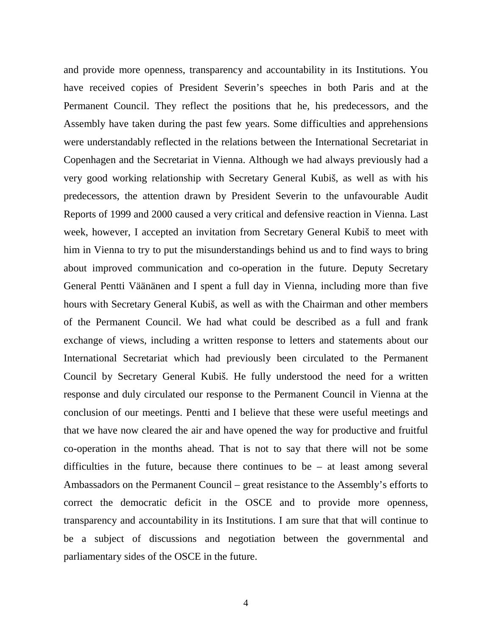and provide more openness, transparency and accountability in its Institutions. You have received copies of President Severin's speeches in both Paris and at the Permanent Council. They reflect the positions that he, his predecessors, and the Assembly have taken during the past few years. Some difficulties and apprehensions were understandably reflected in the relations between the International Secretariat in Copenhagen and the Secretariat in Vienna. Although we had always previously had a very good working relationship with Secretary General Kubiš, as well as with his predecessors, the attention drawn by President Severin to the unfavourable Audit Reports of 1999 and 2000 caused a very critical and defensive reaction in Vienna. Last week, however, I accepted an invitation from Secretary General Kubiš to meet with him in Vienna to try to put the misunderstandings behind us and to find ways to bring about improved communication and co-operation in the future. Deputy Secretary General Pentti Väänänen and I spent a full day in Vienna, including more than five hours with Secretary General Kubiš, as well as with the Chairman and other members of the Permanent Council. We had what could be described as a full and frank exchange of views, including a written response to letters and statements about our International Secretariat which had previously been circulated to the Permanent Council by Secretary General Kubiš. He fully understood the need for a written response and duly circulated our response to the Permanent Council in Vienna at the conclusion of our meetings. Pentti and I believe that these were useful meetings and that we have now cleared the air and have opened the way for productive and fruitful co-operation in the months ahead. That is not to say that there will not be some difficulties in the future, because there continues to be – at least among several Ambassadors on the Permanent Council – great resistance to the Assembly's efforts to correct the democratic deficit in the OSCE and to provide more openness, transparency and accountability in its Institutions. I am sure that that will continue to be a subject of discussions and negotiation between the governmental and parliamentary sides of the OSCE in the future.